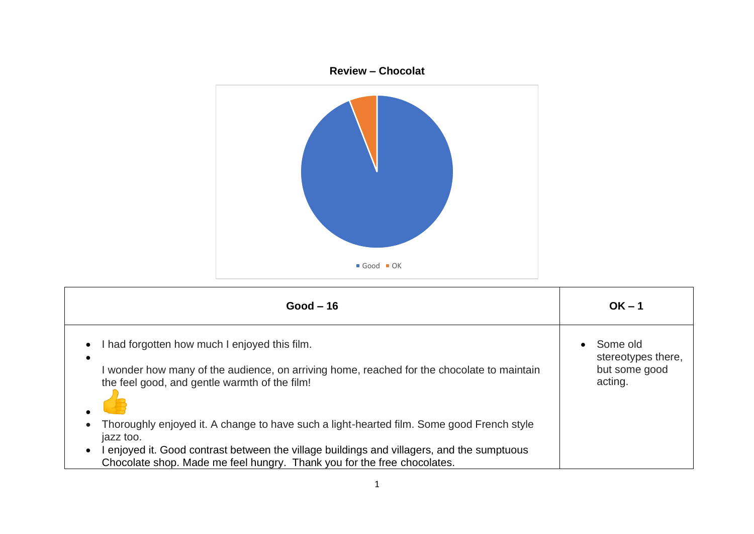

| $Good-16$                                                                                                                                                                                                                                                                                    | $OK - 1$                                                   |
|----------------------------------------------------------------------------------------------------------------------------------------------------------------------------------------------------------------------------------------------------------------------------------------------|------------------------------------------------------------|
| had forgotten how much I enjoyed this film.<br>$\bullet$<br>$\bullet$<br>wonder how many of the audience, on arriving home, reached for the chocolate to maintain<br>the feel good, and gentle warmth of the film!                                                                           | Some old<br>stereotypes there,<br>but some good<br>acting. |
| Thoroughly enjoyed it. A change to have such a light-hearted film. Some good French style<br>jazz too.<br>I enjoyed it. Good contrast between the village buildings and villagers, and the sumptuous<br>$\bullet$<br>Chocolate shop. Made me feel hungry. Thank you for the free chocolates. |                                                            |